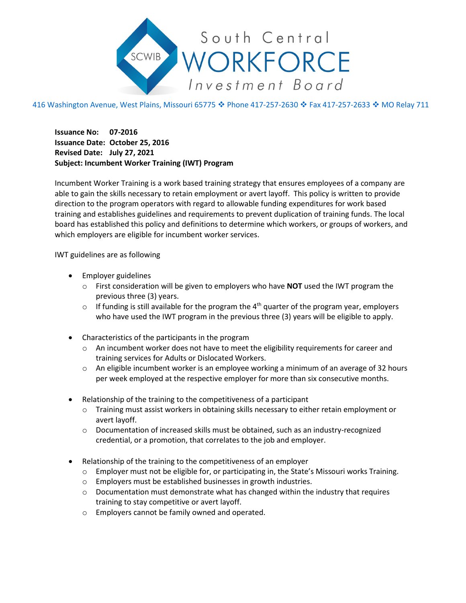

## 416 Washington Avenue, West Plains, Missouri 65775 ♦ Phone 417-257-2630 ♦ Fax 417-257-2633 ♦ MO Relay 711

**Issuance No: 07-2016 Issuance Date: October 25, 2016 Revised Date: July 27, 2021 Subject: Incumbent Worker Training (IWT) Program**

Incumbent Worker Training is a work based training strategy that ensures employees of a company are able to gain the skills necessary to retain employment or avert layoff. This policy is written to provide direction to the program operators with regard to allowable funding expenditures for work based training and establishes guidelines and requirements to prevent duplication of training funds. The local board has established this policy and definitions to determine which workers, or groups of workers, and which employers are eligible for incumbent worker services.

IWT guidelines are as following

- Employer guidelines
	- o First consideration will be given to employers who have **NOT** used the IWT program the previous three (3) years.
	- $\circ$  If funding is still available for the program the 4<sup>th</sup> quarter of the program year, employers who have used the IWT program in the previous three (3) years will be eligible to apply.
- Characteristics of the participants in the program
	- o An incumbent worker does not have to meet the eligibility requirements for career and training services for Adults or Dislocated Workers.
	- $\circ$  An eligible incumbent worker is an employee working a minimum of an average of 32 hours per week employed at the respective employer for more than six consecutive months.
- Relationship of the training to the competitiveness of a participant
	- o Training must assist workers in obtaining skills necessary to either retain employment or avert layoff.
	- o Documentation of increased skills must be obtained, such as an industry-recognized credential, or a promotion, that correlates to the job and employer.
- Relationship of the training to the competitiveness of an employer
	- $\circ$  Employer must not be eligible for, or participating in, the State's Missouri works Training.
	- o Employers must be established businesses in growth industries.
	- $\circ$  Documentation must demonstrate what has changed within the industry that requires training to stay competitive or avert layoff.
	- o Employers cannot be family owned and operated.